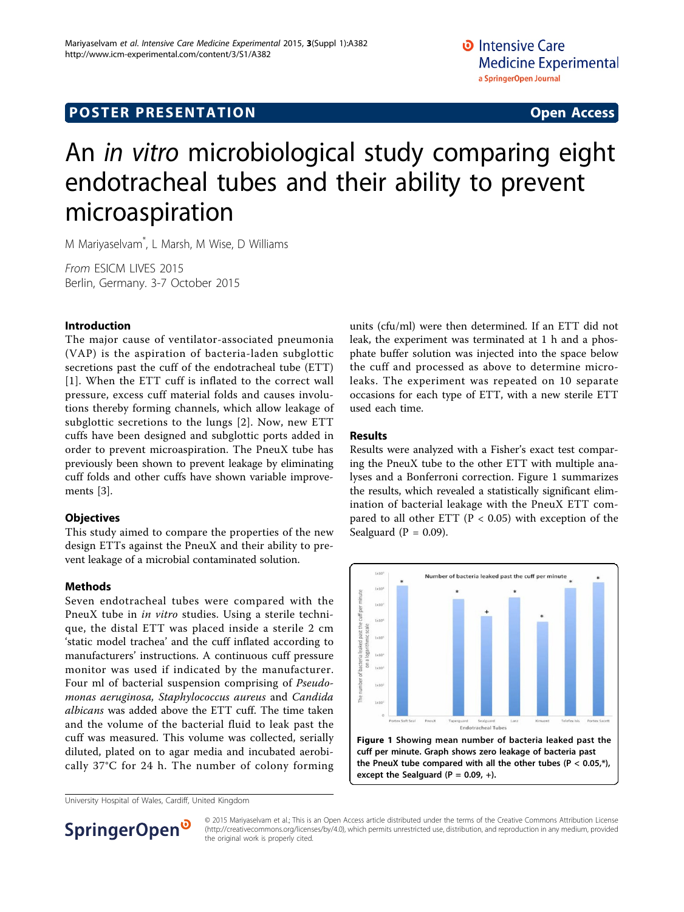# **POSTER PRESENTATION CONSUMING ACCESS**

# An in vitro microbiological study comparing eight endotracheal tubes and their ability to prevent microaspiration

M Mariyaselvam\* , L Marsh, M Wise, D Williams

From ESICM LIVES 2015 Berlin, Germany. 3-7 October 2015

### Introduction

The major cause of ventilator-associated pneumonia (VAP) is the aspiration of bacteria-laden subglottic secretions past the cuff of the endotracheal tube (ETT) [[1](#page-1-0)]. When the ETT cuff is inflated to the correct wall pressure, excess cuff material folds and causes involutions thereby forming channels, which allow leakage of subglottic secretions to the lungs [[2\]](#page-1-0). Now, new ETT cuffs have been designed and subglottic ports added in order to prevent microaspiration. The PneuX tube has previously been shown to prevent leakage by eliminating cuff folds and other cuffs have shown variable improvements [[3\]](#page-1-0).

#### **Objectives**

This study aimed to compare the properties of the new design ETTs against the PneuX and their ability to prevent leakage of a microbial contaminated solution.

## **Methods**

Seven endotracheal tubes were compared with the PneuX tube in in vitro studies. Using a sterile technique, the distal ETT was placed inside a sterile 2 cm 'static model trachea' and the cuff inflated according to manufacturers' instructions. A continuous cuff pressure monitor was used if indicated by the manufacturer. Four ml of bacterial suspension comprising of Pseudomonas aeruginosa, Staphylococcus aureus and Candida albicans was added above the ETT cuff. The time taken and the volume of the bacterial fluid to leak past the cuff was measured. This volume was collected, serially diluted, plated on to agar media and incubated aerobically 37°C for 24 h. The number of colony forming

University Hospital of Wales, Cardiff, United Kingdom

units (cfu/ml) were then determined. If an ETT did not leak, the experiment was terminated at 1 h and a phosphate buffer solution was injected into the space below the cuff and processed as above to determine microleaks. The experiment was repeated on 10 separate occasions for each type of ETT, with a new sterile ETT used each time.

#### Results

Results were analyzed with a Fisher's exact test comparing the PneuX tube to the other ETT with multiple analyses and a Bonferroni correction. Figure 1 summarizes the results, which revealed a statistically significant elimination of bacterial leakage with the PneuX ETT compared to all other ETT ( $P < 0.05$ ) with exception of the Sealguard  $(P = 0.09)$ .





© 2015 Mariyaselvam et al.; This is an Open Access article distributed under the terms of the Creative Commons Attribution License [\(http://creativecommons.org/licenses/by/4.0](http://creativecommons.org/licenses/by/4.0)), which permits unrestricted use, distribution, and reproduction in any medium, provided the original work is properly cited.